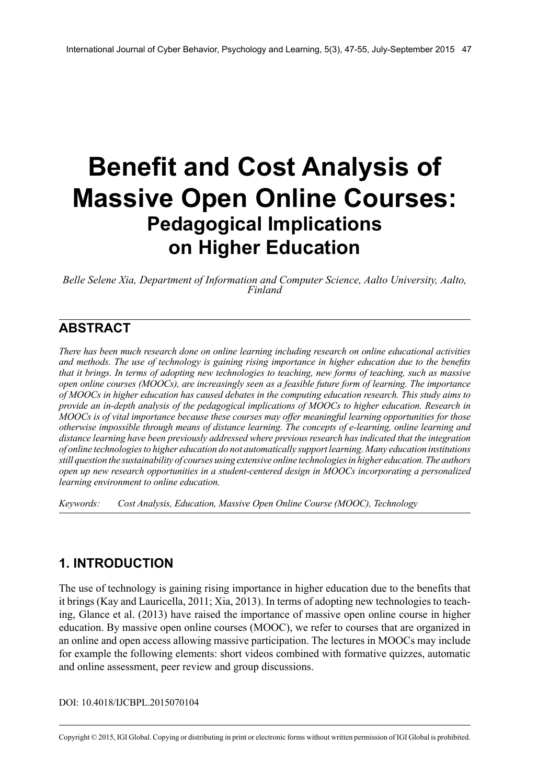# **Benefit and Cost Analysis of Massive Open Online Courses: Pedagogical Implications on Higher Education**

*Belle Selene Xia, Department of Information and Computer Science, Aalto University, Aalto, Finland*

# **ABSTRACT**

*There has been much research done on online learning including research on online educational activities and methods. The use of technology is gaining rising importance in higher education due to the benefits* that it brings. In terms of adopting new technologies to teaching, new forms of teaching, such as massive *open online courses (MOOCs), are increasingly seen as a feasible future form of learning. The importance of MOOCs in higher education has caused debates in the computing education research. This study aims to provide an in-depth analysis of the pedagogical implications of MOOCs to higher education. Research in MOOCs is of vital importance because these courses may offer meaningful learning opportunities for those otherwise impossible through means of distance learning. The concepts of e-learning, online learning and distance learning have been previously addressed where previous research has indicated that the integration of online technologiesto higher education do not automatically support learning. Many education institutions still question the sustainability of courses using extensive online technologiesin higher education. The authors open up new research opportunities in a student-centered design in MOOCs incorporating a personalized learning environment to online education.*

*Keywords: Cost Analysis, Education, Massive Open Online Course (MOOC), Technology*

## **1. INTRODUCTION**

The use of technology is gaining rising importance in higher education due to the benefits that it brings (Kay and Lauricella, 2011; Xia, 2013). In terms of adopting new technologies to teaching, Glance et al. (2013) have raised the importance of massive open online course in higher education. By massive open online courses (MOOC), we refer to courses that are organized in an online and open access allowing massive participation. The lectures in MOOCs may include for example the following elements: short videos combined with formative quizzes, automatic and online assessment, peer review and group discussions.

DOI: 10.4018/IJCBPL.2015070104

Copyright © 2015, IGI Global. Copying or distributing in print or electronic forms without written permission of IGI Global is prohibited.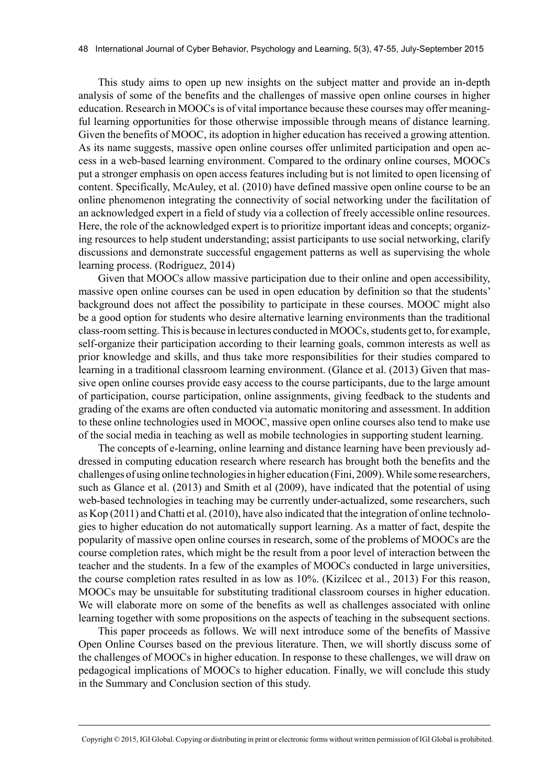This study aims to open up new insights on the subject matter and provide an in-depth analysis of some of the benefits and the challenges of massive open online courses in higher education. Research in MOOCs is of vital importance because these courses may offer meaningful learning opportunities for those otherwise impossible through means of distance learning. Given the benefits of MOOC, its adoption in higher education has received a growing attention. As its name suggests, massive open online courses offer unlimited participation and open access in a web-based learning environment. Compared to the ordinary online courses, MOOCs put a stronger emphasis on open access features including but is not limited to open licensing of content. Specifically, McAuley, et al. (2010) have defined massive open online course to be an online phenomenon integrating the connectivity of social networking under the facilitation of an acknowledged expert in a field of study via a collection of freely accessible online resources. Here, the role of the acknowledged expert is to prioritize important ideas and concepts; organizing resources to help student understanding; assist participants to use social networking, clarify discussions and demonstrate successful engagement patterns as well as supervising the whole learning process. (Rodriguez, 2014)

Given that MOOCs allow massive participation due to their online and open accessibility, massive open online courses can be used in open education by definition so that the students' background does not affect the possibility to participate in these courses. MOOC might also be a good option for students who desire alternative learning environments than the traditional class-room setting. This is because in lectures conducted in MOOCs, students get to, for example, self-organize their participation according to their learning goals, common interests as well as prior knowledge and skills, and thus take more responsibilities for their studies compared to learning in a traditional classroom learning environment. (Glance et al. (2013) Given that massive open online courses provide easy access to the course participants, due to the large amount of participation, course participation, online assignments, giving feedback to the students and grading of the exams are often conducted via automatic monitoring and assessment. In addition to these online technologies used in MOOC, massive open online courses also tend to make use of the social media in teaching as well as mobile technologies in supporting student learning.

The concepts of e-learning, online learning and distance learning have been previously addressed in computing education research where research has brought both the benefits and the challenges of using online technologies in higher education (Fini, 2009). While some researchers, such as Glance et al. (2013) and Smith et al (2009), have indicated that the potential of using web-based technologies in teaching may be currently under-actualized, some researchers, such as Kop (2011) and Chatti et al. (2010), have also indicated that the integration of online technologies to higher education do not automatically support learning. As a matter of fact, despite the popularity of massive open online courses in research, some of the problems of MOOCs are the course completion rates, which might be the result from a poor level of interaction between the teacher and the students. In a few of the examples of MOOCs conducted in large universities, the course completion rates resulted in as low as 10%. (Kizilcec et al., 2013) For this reason, MOOCs may be unsuitable for substituting traditional classroom courses in higher education. We will elaborate more on some of the benefits as well as challenges associated with online learning together with some propositions on the aspects of teaching in the subsequent sections.

This paper proceeds as follows. We will next introduce some of the benefits of Massive Open Online Courses based on the previous literature. Then, we will shortly discuss some of the challenges of MOOCs in higher education. In response to these challenges, we will draw on pedagogical implications of MOOCs to higher education. Finally, we will conclude this study in the Summary and Conclusion section of this study.